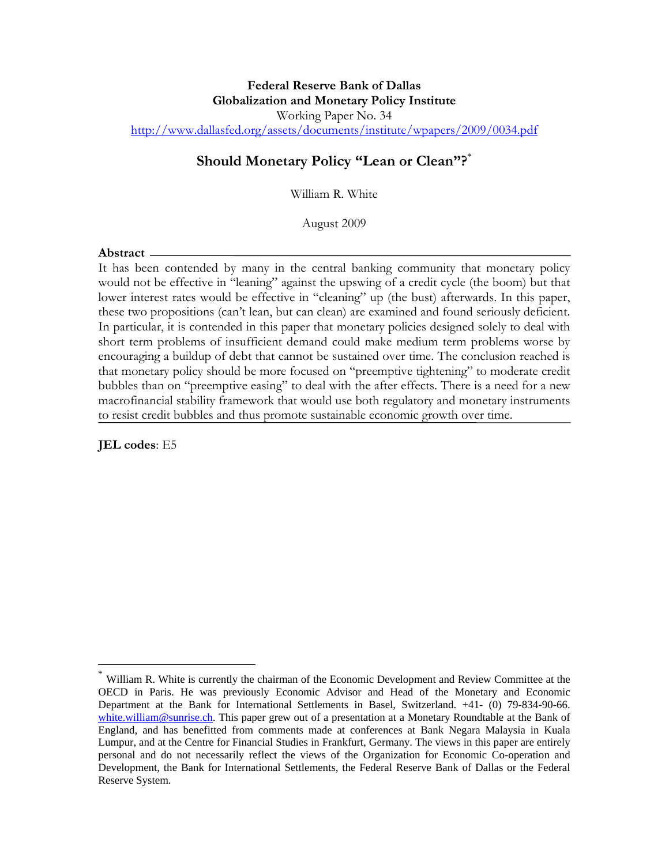### **Federal Reserve Bank of Dallas Globalization and Monetary Policy Institute**  Working Paper No. 34 http://www.dallasfed.org/assets/documents/institute/wpapers/2009/0034.pdf

# **Should Monetary Policy "Lean or Clean"?**\*

William R. White

August 2009

#### **Abstract**

It has been contended by many in the central banking community that monetary policy would not be effective in "leaning" against the upswing of a credit cycle (the boom) but that lower interest rates would be effective in "cleaning" up (the bust) afterwards. In this paper, these two propositions (can't lean, but can clean) are examined and found seriously deficient. In particular, it is contended in this paper that monetary policies designed solely to deal with short term problems of insufficient demand could make medium term problems worse by encouraging a buildup of debt that cannot be sustained over time. The conclusion reached is that monetary policy should be more focused on "preemptive tightening" to moderate credit bubbles than on "preemptive easing" to deal with the after effects. There is a need for a new macrofinancial stability framework that would use both regulatory and monetary instruments to resist credit bubbles and thus promote sustainable economic growth over time.

**JEL codes**: E5

 $\overline{a}$ 

William R. White is currently the chairman of the Economic Development and Review Committee at the OECD in Paris. He was previously Economic Advisor and Head of the Monetary and Economic Department at the Bank for International Settlements in Basel, Switzerland. +41- (0) 79-834-90-66. white.william@sunrise.ch. This paper grew out of a presentation at a Monetary Roundtable at the Bank of England, and has benefitted from comments made at conferences at Bank Negara Malaysia in Kuala Lumpur, and at the Centre for Financial Studies in Frankfurt, Germany. The views in this paper are entirely personal and do not necessarily reflect the views of the Organization for Economic Co-operation and Development, the Bank for International Settlements, the Federal Reserve Bank of Dallas or the Federal Reserve System.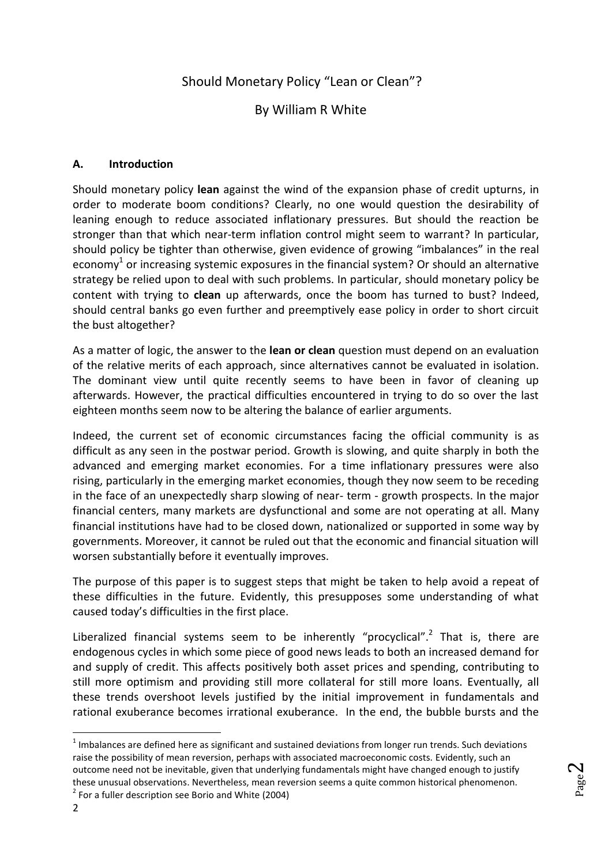# Should Monetary Policy "Lean or Clean"?

### By William R White

#### **A. Introduction**

Should monetary policy **lean** against the wind of the expansion phase of credit upturns, in order to moderate boom conditions? Clearly, no one would question the desirability of leaning enough to reduce associated inflationary pressures. But should the reaction be stronger than that which near-term inflation control might seem to warrant? In particular, should policy be tighter than otherwise, given evidence of growing "imbalances" in the real economy<sup>1</sup> or increasing systemic exposures in the financial system? Or should an alternative strategy be relied upon to deal with such problems. In particular, should monetary policy be content with trying to **clean** up afterwards, once the boom has turned to bust? Indeed, should central banks go even further and preemptively ease policy in order to short circuit the bust altogether?

As a matter of logic, the answer to the **lean or clean** question must depend on an evaluation of the relative merits of each approach, since alternatives cannot be evaluated in isolation. The dominant view until quite recently seems to have been in favor of cleaning up afterwards. However, the practical difficulties encountered in trying to do so over the last eighteen months seem now to be altering the balance of earlier arguments.

Indeed, the current set of economic circumstances facing the official community is as difficult as any seen in the postwar period. Growth is slowing, and quite sharply in both the advanced and emerging market economies. For a time inflationary pressures were also rising, particularly in the emerging market economies, though they now seem to be receding in the face of an unexpectedly sharp slowing of near- term - growth prospects. In the major financial centers, many markets are dysfunctional and some are not operating at all. Many financial institutions have had to be closed down, nationalized or supported in some way by governments. Moreover, it cannot be ruled out that the economic and financial situation will worsen substantially before it eventually improves.

The purpose of this paper is to suggest steps that might be taken to help avoid a repeat of these difficulties in the future. Evidently, this presupposes some understanding of what caused today's difficulties in the first place.

Liberalized financial systems seem to be inherently "procyclical".<sup>2</sup> That is, there are endogenous cycles in which some piece of good news leads to both an increased demand for and supply of credit. This affects positively both asset prices and spending, contributing to still more optimism and providing still more collateral for still more loans. Eventually, all these trends overshoot levels justified by the initial improvement in fundamentals and rational exuberance becomes irrational exuberance. In the end, the bubble bursts and the

 $1$  Imbalances are defined here as significant and sustained deviations from longer run trends. Such deviations raise the possibility of mean reversion, perhaps with associated macroeconomic costs. Evidently, such an outcome need not be inevitable, given that underlying fundamentals might have changed enough to justify these unusual observations. Nevertheless, mean reversion seems a quite common historical phenomenon.  $2$  For a fuller description see Borio and White (2004)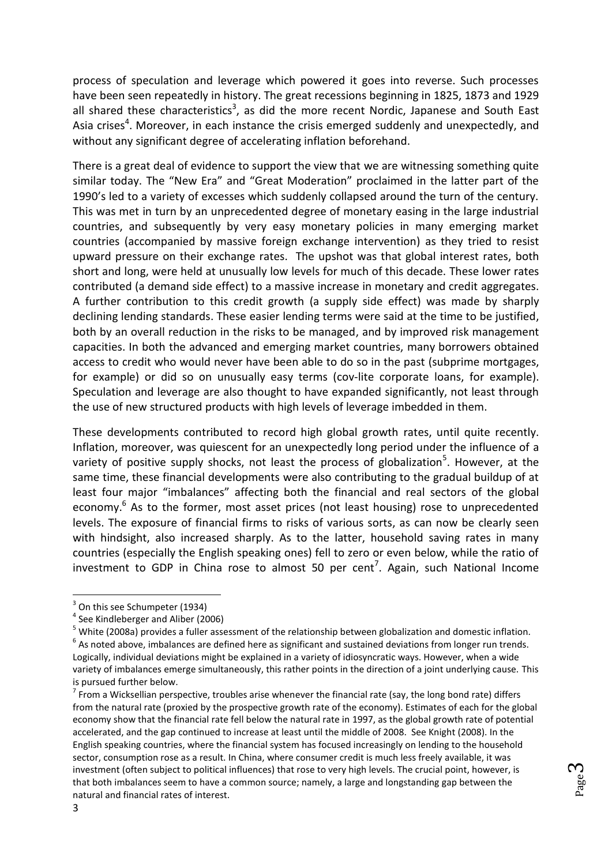process of speculation and leverage which powered it goes into reverse. Such processes have been seen repeatedly in history. The great recessions beginning in 1825, 1873 and 1929 all shared these characteristics<sup>3</sup>, as did the more recent Nordic, Japanese and South East Asia crises<sup>4</sup>. Moreover, in each instance the crisis emerged suddenly and unexpectedly, and without any significant degree of accelerating inflation beforehand.

There is a great deal of evidence to support the view that we are witnessing something quite similar today. The "New Era" and "Great Moderation" proclaimed in the latter part of the 1990's led to a variety of excesses which suddenly collapsed around the turn of the century. This was met in turn by an unprecedented degree of monetary easing in the large industrial countries, and subsequently by very easy monetary policies in many emerging market countries (accompanied by massive foreign exchange intervention) as they tried to resist upward pressure on their exchange rates. The upshot was that global interest rates, both short and long, were held at unusually low levels for much of this decade. These lower rates contributed (a demand side effect) to a massive increase in monetary and credit aggregates. A further contribution to this credit growth (a supply side effect) was made by sharply declining lending standards. These easier lending terms were said at the time to be justified, both by an overall reduction in the risks to be managed, and by improved risk management capacities. In both the advanced and emerging market countries, many borrowers obtained access to credit who would never have been able to do so in the past (subprime mortgages, for example) or did so on unusually easy terms (cov-lite corporate loans, for example). Speculation and leverage are also thought to have expanded significantly, not least through the use of new structured products with high levels of leverage imbedded in them.

These developments contributed to record high global growth rates, until quite recently. Inflation, moreover, was quiescent for an unexpectedly long period under the influence of a variety of positive supply shocks, not least the process of globalization<sup>5</sup>. However, at the same time, these financial developments were also contributing to the gradual buildup of at least four major "imbalances" affecting both the financial and real sectors of the global economy.<sup>6</sup> As to the former, most asset prices (not least housing) rose to unprecedented levels. The exposure of financial firms to risks of various sorts, as can now be clearly seen with hindsight, also increased sharply. As to the latter, household saving rates in many countries (especially the English speaking ones) fell to zero or even below, while the ratio of investment to GDP in China rose to almost 50 per cent<sup>7</sup>. Again, such National Income

<sup>5</sup> White (2008a) provides a fuller assessment of the relationship between globalization and domestic inflation.

 $\overline{\phantom{a}}$ 

<sup>&</sup>lt;sup>3</sup> On this see Schumpeter (1934)

<sup>&</sup>lt;sup>4</sup> See Kindleberger and Aliber (2006)

 $^6$  As noted above, imbalances are defined here as significant and sustained deviations from longer run trends. Logically, individual deviations might be explained in a variety of idiosyncratic ways. However, when a wide variety of imbalances emerge simultaneously, this rather points in the direction of a joint underlying cause. This is pursued further below.

 $^7$  From a Wicksellian perspective, troubles arise whenever the financial rate (say, the long bond rate) differs from the natural rate (proxied by the prospective growth rate of the economy). Estimates of each for the global economy show that the financial rate fell below the natural rate in 1997, as the global growth rate of potential accelerated, and the gap continued to increase at least until the middle of 2008. See Knight (2008). In the English speaking countries, where the financial system has focused increasingly on lending to the household sector, consumption rose as a result. In China, where consumer credit is much less freely available, it was investment (often subject to political influences) that rose to very high levels. The crucial point, however, is that both imbalances seem to have a common source; namely, a large and longstanding gap between the natural and financial rates of interest.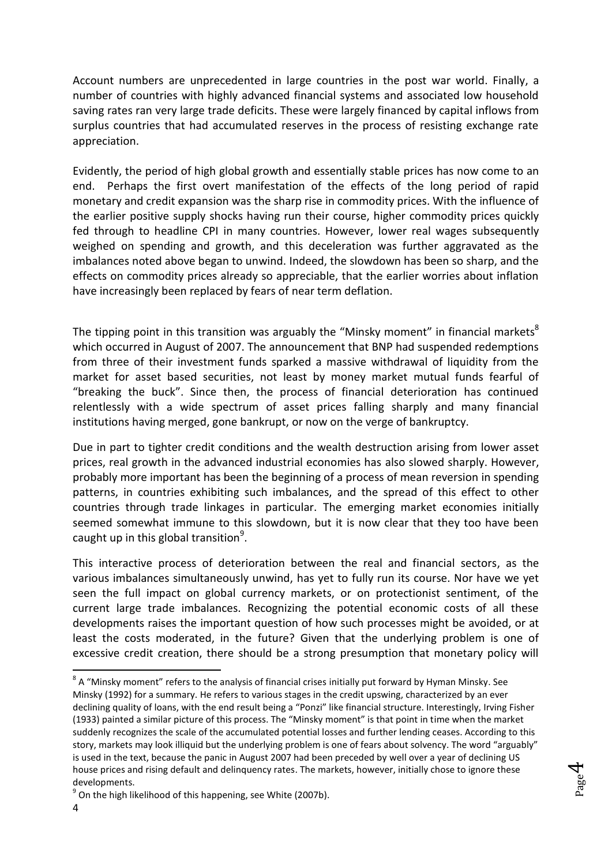Account numbers are unprecedented in large countries in the post war world. Finally, a number of countries with highly advanced financial systems and associated low household saving rates ran very large trade deficits. These were largely financed by capital inflows from surplus countries that had accumulated reserves in the process of resisting exchange rate appreciation.

Evidently, the period of high global growth and essentially stable prices has now come to an end. Perhaps the first overt manifestation of the effects of the long period of rapid monetary and credit expansion was the sharp rise in commodity prices. With the influence of the earlier positive supply shocks having run their course, higher commodity prices quickly fed through to headline CPI in many countries. However, lower real wages subsequently weighed on spending and growth, and this deceleration was further aggravated as the imbalances noted above began to unwind. Indeed, the slowdown has been so sharp, and the effects on commodity prices already so appreciable, that the earlier worries about inflation have increasingly been replaced by fears of near term deflation.

The tipping point in this transition was arguably the "Minsky moment" in financial markets<sup>8</sup> which occurred in August of 2007. The announcement that BNP had suspended redemptions from three of their investment funds sparked a massive withdrawal of liquidity from the market for asset based securities, not least by money market mutual funds fearful of "breaking the buck". Since then, the process of financial deterioration has continued relentlessly with a wide spectrum of asset prices falling sharply and many financial institutions having merged, gone bankrupt, or now on the verge of bankruptcy.

Due in part to tighter credit conditions and the wealth destruction arising from lower asset prices, real growth in the advanced industrial economies has also slowed sharply. However, probably more important has been the beginning of a process of mean reversion in spending patterns, in countries exhibiting such imbalances, and the spread of this effect to other countries through trade linkages in particular. The emerging market economies initially seemed somewhat immune to this slowdown, but it is now clear that they too have been caught up in this global transition<sup>9</sup>.

This interactive process of deterioration between the real and financial sectors, as the various imbalances simultaneously unwind, has yet to fully run its course. Nor have we yet seen the full impact on global currency markets, or on protectionist sentiment, of the current large trade imbalances. Recognizing the potential economic costs of all these developments raises the important question of how such processes might be avoided, or at least the costs moderated, in the future? Given that the underlying problem is one of excessive credit creation, there should be a strong presumption that monetary policy will

Page 4

 $^8$  A "Minsky moment" refers to the analysis of financial crises initially put forward by Hyman Minsky. See Minsky (1992) for a summary. He refers to various stages in the credit upswing, characterized by an ever declining quality of loans, with the end result being a "Ponzi" like financial structure. Interestingly, Irving Fisher (1933) painted a similar picture of this process. The "Minsky moment" is that point in time when the market suddenly recognizes the scale of the accumulated potential losses and further lending ceases. According to this story, markets may look illiquid but the underlying problem is one of fears about solvency. The word "arguably" is used in the text, because the panic in August 2007 had been preceded by well over a year of declining US house prices and rising default and delinquency rates. The markets, however, initially chose to ignore these developments.

 $^{9}$  On the high likelihood of this happening, see White (2007b).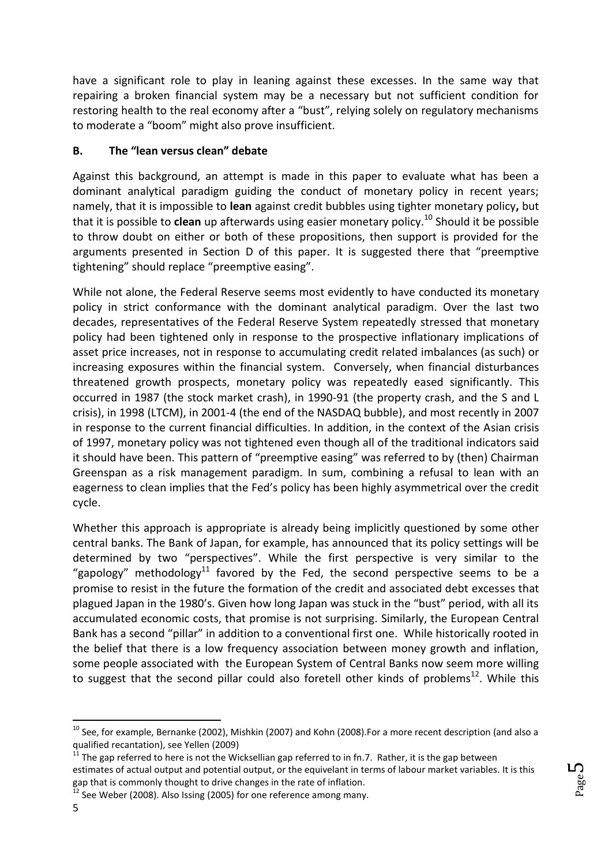have a significant role to play in leaning against these excesses. In the same way that repairing a broken financial system may be a necessary but not sufficient condition for restoring health to the real economy after a "bust", relying solely on regulatory mechanisms to moderate a "boom" might also prove insufficient.

### **B. The "lean versus clean" debate**

Against this background, an attempt is made in this paper to evaluate what has been a dominant analytical paradigm guiding the conduct of monetary policy in recent years; namely, that it is impossible to **lean** against credit bubbles using tighter monetary policy**,** but that it is possible to **clean** up afterwards using easier monetary policy.<sup>10</sup> Should it be possible to throw doubt on either or both of these propositions, then support is provided for the arguments presented in Section D of this paper. It is suggested there that "preemptive tightening" should replace "preemptive easing".

While not alone, the Federal Reserve seems most evidently to have conducted its monetary policy in strict conformance with the dominant analytical paradigm. Over the last two decades, representatives of the Federal Reserve System repeatedly stressed that monetary policy had been tightened only in response to the prospective inflationary implications of asset price increases, not in response to accumulating credit related imbalances (as such) or increasing exposures within the financial system. Conversely, when financial disturbances threatened growth prospects, monetary policy was repeatedly eased significantly. This occurred in 1987 (the stock market crash), in 1990-91 (the property crash, and the S and L crisis), in 1998 (LTCM), in 2001-4 (the end of the NASDAQ bubble), and most recently in 2007 in response to the current financial difficulties. In addition, in the context of the Asian crisis of 1997, monetary policy was not tightened even though all of the traditional indicators said it should have been. This pattern of "preemptive easing" was referred to by (then) Chairman Greenspan as a risk management paradigm. In sum, combining a refusal to lean with an eagerness to clean implies that the Fed's policy has been highly asymmetrical over the credit cycle.

Whether this approach is appropriate is already being implicitly questioned by some other central banks. The Bank of Japan, for example, has announced that its policy settings will be determined by two "perspectives". While the first perspective is very similar to the "gapology" methodology<sup>11</sup> favored by the Fed, the second perspective seems to be a promise to resist in the future the formation of the credit and associated debt excesses that plagued Japan in the 1980's. Given how long Japan was stuck in the "bust" period, with all its accumulated economic costs, that promise is not surprising. Similarly, the European Central Bank has a second "pillar" in addition to a conventional first one. While historically rooted in the belief that there is a low frequency association between money growth and inflation, some people associated with the European System of Central Banks now seem more willing to suggest that the second pillar could also foretell other kinds of problems<sup>12</sup>. While this

 $^{10}$  See, for example, Bernanke (2002), Mishkin (2007) and Kohn (2008).For a more recent description (and also a qualified recantation), see Yellen (2009)

 $11$  The gap referred to here is not the Wicksellian gap referred to in fn.7. Rather, it is the gap between estimates of actual output and potential output, or the equivelant in terms of labour market variables. It is this gap that is commonly thought to drive changes in the rate of inflation.

 $12$  See Weber (2008). Also Issing (2005) for one reference among many.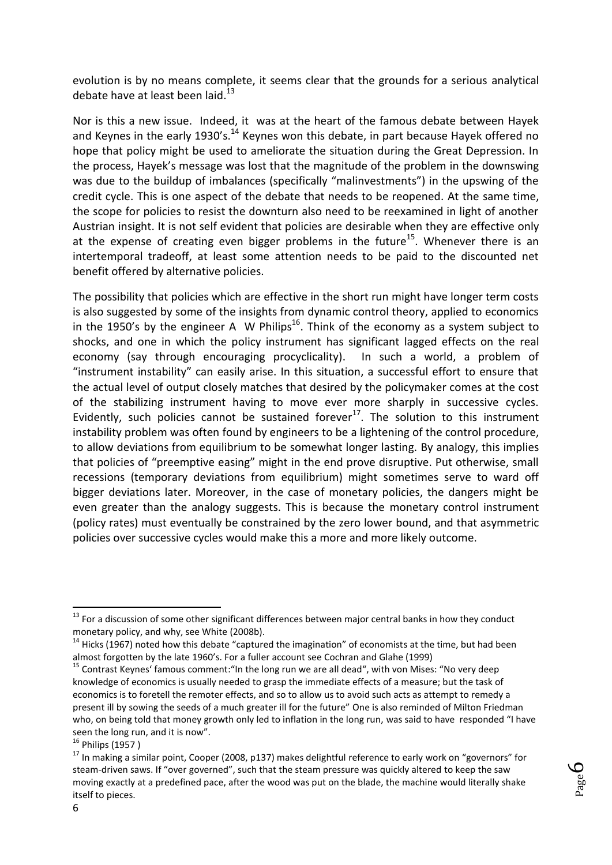evolution is by no means complete, it seems clear that the grounds for a serious analytical debate have at least been laid.<sup>13</sup>

Nor is this a new issue. Indeed, it was at the heart of the famous debate between Hayek and Keynes in the early 1930's.<sup>14</sup> Keynes won this debate, in part because Hayek offered no hope that policy might be used to ameliorate the situation during the Great Depression. In the process, Hayek's message was lost that the magnitude of the problem in the downswing was due to the buildup of imbalances (specifically "malinvestments") in the upswing of the credit cycle. This is one aspect of the debate that needs to be reopened. At the same time, the scope for policies to resist the downturn also need to be reexamined in light of another Austrian insight. It is not self evident that policies are desirable when they are effective only at the expense of creating even bigger problems in the future<sup>15</sup>. Whenever there is an intertemporal tradeoff, at least some attention needs to be paid to the discounted net benefit offered by alternative policies.

The possibility that policies which are effective in the short run might have longer term costs is also suggested by some of the insights from dynamic control theory, applied to economics in the 1950's by the engineer A W Philips<sup>16</sup>. Think of the economy as a system subject to shocks, and one in which the policy instrument has significant lagged effects on the real economy (say through encouraging procyclicality). In such a world, a problem of "instrument instability" can easily arise. In this situation, a successful effort to ensure that the actual level of output closely matches that desired by the policymaker comes at the cost of the stabilizing instrument having to move ever more sharply in successive cycles. Evidently, such policies cannot be sustained forever $17$ . The solution to this instrument instability problem was often found by engineers to be a lightening of the control procedure, to allow deviations from equilibrium to be somewhat longer lasting. By analogy, this implies that policies of "preemptive easing" might in the end prove disruptive. Put otherwise, small recessions (temporary deviations from equilibrium) might sometimes serve to ward off bigger deviations later. Moreover, in the case of monetary policies, the dangers might be even greater than the analogy suggests. This is because the monetary control instrument (policy rates) must eventually be constrained by the zero lower bound, and that asymmetric policies over successive cycles would make this a more and more likely outcome.

**<sup>.</sup>**  $13$  For a discussion of some other significant differences between major central banks in how they conduct monetary policy, and why, see White (2008b).

 $14$  Hicks (1967) noted how this debate "captured the imagination" of economists at the time, but had been almost forgotten by the late 1960's. For a fuller account see Cochran and Glahe (1999)

<sup>&</sup>lt;sup>15</sup> Contrast Keynes' famous comment: "In the long run we are all dead", with von Mises: "No very deep knowledge of economics is usually needed to grasp the immediate effects of a measure; but the task of economics is to foretell the remoter effects, and so to allow us to avoid such acts as attempt to remedy a present ill by sowing the seeds of a much greater ill for the future" One is also reminded of Milton Friedman who, on being told that money growth only led to inflation in the long run, was said to have responded "I have seen the long run, and it is now".

 $16$  Philips (1957)

<sup>&</sup>lt;sup>17</sup> In making a similar point, Cooper (2008, p137) makes delightful reference to early work on "governors" for steam-driven saws. If "over governed", such that the steam pressure was quickly altered to keep the saw moving exactly at a predefined pace, after the wood was put on the blade, the machine would literally shake itself to pieces.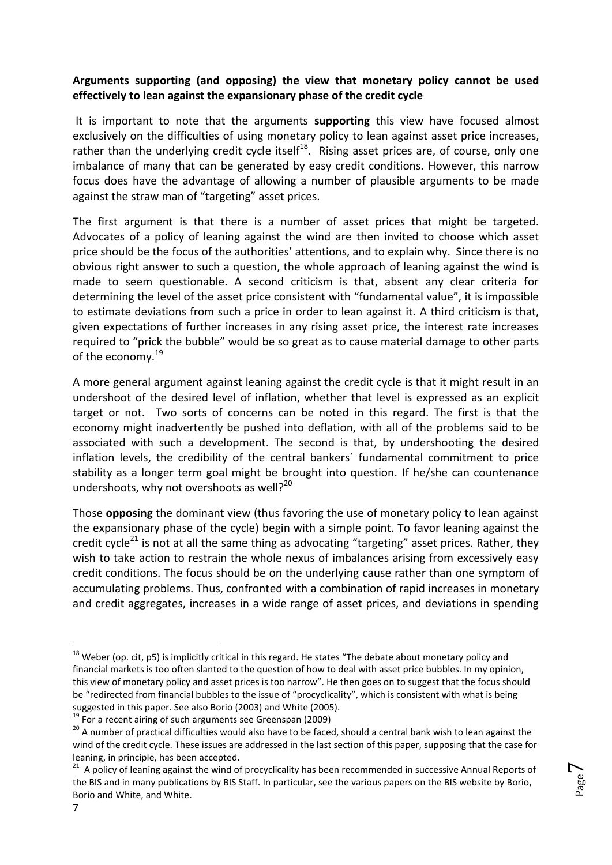### **Arguments supporting (and opposing) the view that monetary policy cannot be used effectively to lean against the expansionary phase of the credit cycle**

It is important to note that the arguments **supporting** this view have focused almost exclusively on the difficulties of using monetary policy to lean against asset price increases, rather than the underlying credit cycle itself<sup>18</sup>. Rising asset prices are, of course, only one imbalance of many that can be generated by easy credit conditions. However, this narrow focus does have the advantage of allowing a number of plausible arguments to be made against the straw man of "targeting" asset prices.

The first argument is that there is a number of asset prices that might be targeted. Advocates of a policy of leaning against the wind are then invited to choose which asset price should be the focus of the authorities' attentions, and to explain why. Since there is no obvious right answer to such a question, the whole approach of leaning against the wind is made to seem questionable. A second criticism is that, absent any clear criteria for determining the level of the asset price consistent with "fundamental value", it is impossible to estimate deviations from such a price in order to lean against it. A third criticism is that, given expectations of further increases in any rising asset price, the interest rate increases required to "prick the bubble" would be so great as to cause material damage to other parts of the economy.<sup>19</sup>

A more general argument against leaning against the credit cycle is that it might result in an undershoot of the desired level of inflation, whether that level is expressed as an explicit target or not. Two sorts of concerns can be noted in this regard. The first is that the economy might inadvertently be pushed into deflation, with all of the problems said to be associated with such a development. The second is that, by undershooting the desired inflation levels, the credibility of the central bankers´ fundamental commitment to price stability as a longer term goal might be brought into question. If he/she can countenance undershoots, why not overshoots as well? $^{20}$ 

Those **opposing** the dominant view (thus favoring the use of monetary policy to lean against the expansionary phase of the cycle) begin with a simple point. To favor leaning against the credit cycle<sup>21</sup> is not at all the same thing as advocating "targeting" asset prices. Rather, they wish to take action to restrain the whole nexus of imbalances arising from excessively easy credit conditions. The focus should be on the underlying cause rather than one symptom of accumulating problems. Thus, confronted with a combination of rapid increases in monetary and credit aggregates, increases in a wide range of asset prices, and deviations in spending

 $\overline{\phantom{a}}$ 

<sup>&</sup>lt;sup>18</sup> Weber (op. cit, p5) is implicitly critical in this regard. He states "The debate about monetary policy and financial markets is too often slanted to the question of how to deal with asset price bubbles. In my opinion, this view of monetary policy and asset prices is too narrow". He then goes on to suggest that the focus should be "redirected from financial bubbles to the issue of "procyclicality", which is consistent with what is being suggested in this paper. See also Borio (2003) and White (2005).

 $19<sup>19</sup>$  For a recent airing of such arguments see Greenspan (2009)

<sup>&</sup>lt;sup>20</sup> A number of practical difficulties would also have to be faced, should a central bank wish to lean against the wind of the credit cycle. These issues are addressed in the last section of this paper, supposing that the case for leaning, in principle, has been accepted.

<sup>&</sup>lt;sup>21</sup> A policy of leaning against the wind of procyclicality has been recommended in successive Annual Reports of the BIS and in many publications by BIS Staff. In particular, see the various papers on the BIS website by Borio, Borio and White, and White.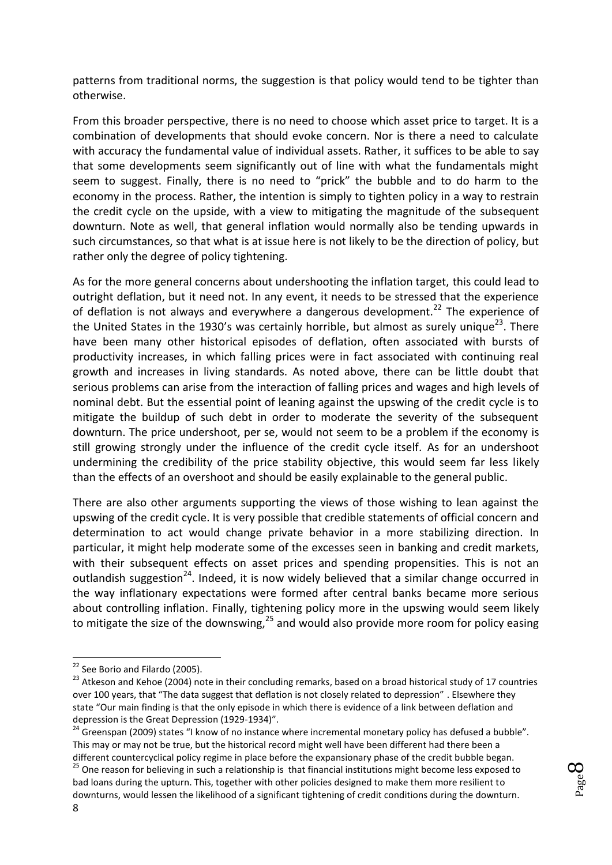patterns from traditional norms, the suggestion is that policy would tend to be tighter than otherwise.

From this broader perspective, there is no need to choose which asset price to target. It is a combination of developments that should evoke concern. Nor is there a need to calculate with accuracy the fundamental value of individual assets. Rather, it suffices to be able to say that some developments seem significantly out of line with what the fundamentals might seem to suggest. Finally, there is no need to "prick" the bubble and to do harm to the economy in the process. Rather, the intention is simply to tighten policy in a way to restrain the credit cycle on the upside, with a view to mitigating the magnitude of the subsequent downturn. Note as well, that general inflation would normally also be tending upwards in such circumstances, so that what is at issue here is not likely to be the direction of policy, but rather only the degree of policy tightening.

As for the more general concerns about undershooting the inflation target, this could lead to outright deflation, but it need not. In any event, it needs to be stressed that the experience of deflation is not always and everywhere a dangerous development.<sup>22</sup> The experience of the United States in the 1930's was certainly horrible, but almost as surely unique<sup>23</sup>. There have been many other historical episodes of deflation, often associated with bursts of productivity increases, in which falling prices were in fact associated with continuing real growth and increases in living standards. As noted above, there can be little doubt that serious problems can arise from the interaction of falling prices and wages and high levels of nominal debt. But the essential point of leaning against the upswing of the credit cycle is to mitigate the buildup of such debt in order to moderate the severity of the subsequent downturn. The price undershoot, per se, would not seem to be a problem if the economy is still growing strongly under the influence of the credit cycle itself. As for an undershoot undermining the credibility of the price stability objective, this would seem far less likely than the effects of an overshoot and should be easily explainable to the general public.

There are also other arguments supporting the views of those wishing to lean against the upswing of the credit cycle. It is very possible that credible statements of official concern and determination to act would change private behavior in a more stabilizing direction. In particular, it might help moderate some of the excesses seen in banking and credit markets, with their subsequent effects on asset prices and spending propensities. This is not an outlandish suggestion<sup>24</sup>. Indeed, it is now widely believed that a similar change occurred in the way inflationary expectations were formed after central banks became more serious about controlling inflation. Finally, tightening policy more in the upswing would seem likely to mitigate the size of the downswing, $^{25}$  and would also provide more room for policy easing

different countercyclical policy regime in place before the expansionary phase of the credit bubble began. <sup>25</sup> One reason for believing in such a relationship is that financial institutions might become less exposed to bad loans during the upturn. This, together with other policies designed to make them more resilient to downturns, would lessen the likelihood of a significant tightening of credit conditions during the downturn.

<sup>&</sup>lt;sup>22</sup> See Borio and Filardo (2005).

<sup>23</sup> Atkeson and Kehoe (2004) note in their concluding remarks, based on a broad historical study of 17 countries over 100 years, that "The data suggest that deflation is not closely related to depression" . Elsewhere they state "Our main finding is that the only episode in which there is evidence of a link between deflation and depression is the Great Depression (1929-1934)".

<sup>&</sup>lt;sup>24</sup> Greenspan (2009) states "I know of no instance where incremental monetary policy has defused a bubble". This may or may not be true, but the historical record might well have been different had there been a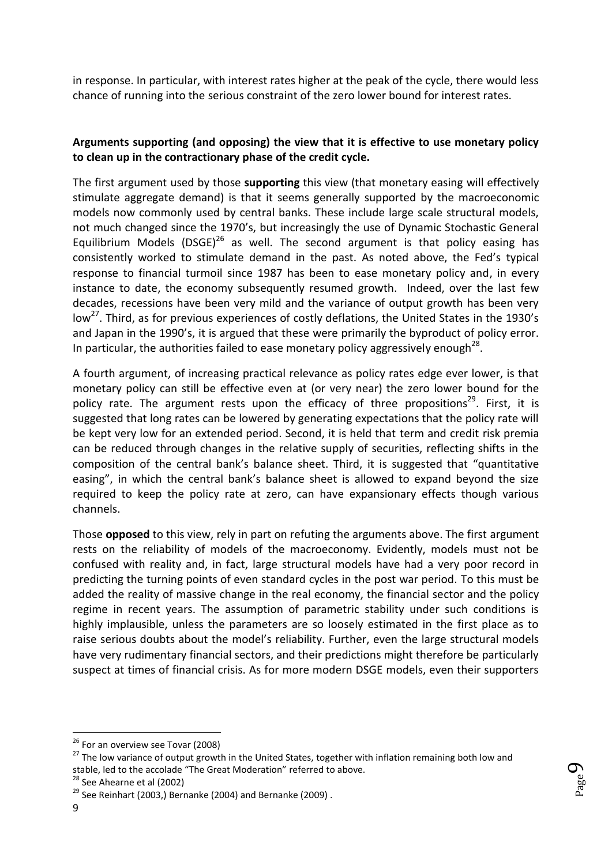in response. In particular, with interest rates higher at the peak of the cycle, there would less chance of running into the serious constraint of the zero lower bound for interest rates.

### **Arguments supporting (and opposing) the view that it is effective to use monetary policy to clean up in the contractionary phase of the credit cycle.**

The first argument used by those **supporting** this view (that monetary easing will effectively stimulate aggregate demand) is that it seems generally supported by the macroeconomic models now commonly used by central banks. These include large scale structural models, not much changed since the 1970's, but increasingly the use of Dynamic Stochastic General Equilibrium Models (DSGE)<sup>26</sup> as well. The second argument is that policy easing has consistently worked to stimulate demand in the past. As noted above, the Fed's typical response to financial turmoil since 1987 has been to ease monetary policy and, in every instance to date, the economy subsequently resumed growth. Indeed, over the last few decades, recessions have been very mild and the variance of output growth has been very low<sup>27</sup>. Third, as for previous experiences of costly deflations, the United States in the 1930's and Japan in the 1990's, it is argued that these were primarily the byproduct of policy error. In particular, the authorities failed to ease monetary policy aggressively enough<sup>28</sup>.

A fourth argument, of increasing practical relevance as policy rates edge ever lower, is that monetary policy can still be effective even at (or very near) the zero lower bound for the policy rate. The argument rests upon the efficacy of three propositions<sup>29</sup>. First, it is suggested that long rates can be lowered by generating expectations that the policy rate will be kept very low for an extended period. Second, it is held that term and credit risk premia can be reduced through changes in the relative supply of securities, reflecting shifts in the composition of the central bank's balance sheet. Third, it is suggested that "quantitative easing", in which the central bank's balance sheet is allowed to expand beyond the size required to keep the policy rate at zero, can have expansionary effects though various channels.

Those **opposed** to this view, rely in part on refuting the arguments above. The first argument rests on the reliability of models of the macroeconomy. Evidently, models must not be confused with reality and, in fact, large structural models have had a very poor record in predicting the turning points of even standard cycles in the post war period. To this must be added the reality of massive change in the real economy, the financial sector and the policy regime in recent years. The assumption of parametric stability under such conditions is highly implausible, unless the parameters are so loosely estimated in the first place as to raise serious doubts about the model's reliability. Further, even the large structural models have very rudimentary financial sectors, and their predictions might therefore be particularly suspect at times of financial crisis. As for more modern DSGE models, even their supporters



<sup>&</sup>lt;sup>26</sup> For an overview see Tovar (2008)

<sup>&</sup>lt;sup>27</sup> The low variance of output growth in the United States, together with inflation remaining both low and stable, led to the accolade "The Great Moderation" referred to above.

 $28$  See Ahearne et al (2002)

 $29$  See Reinhart (2003,) Bernanke (2004) and Bernanke (2009).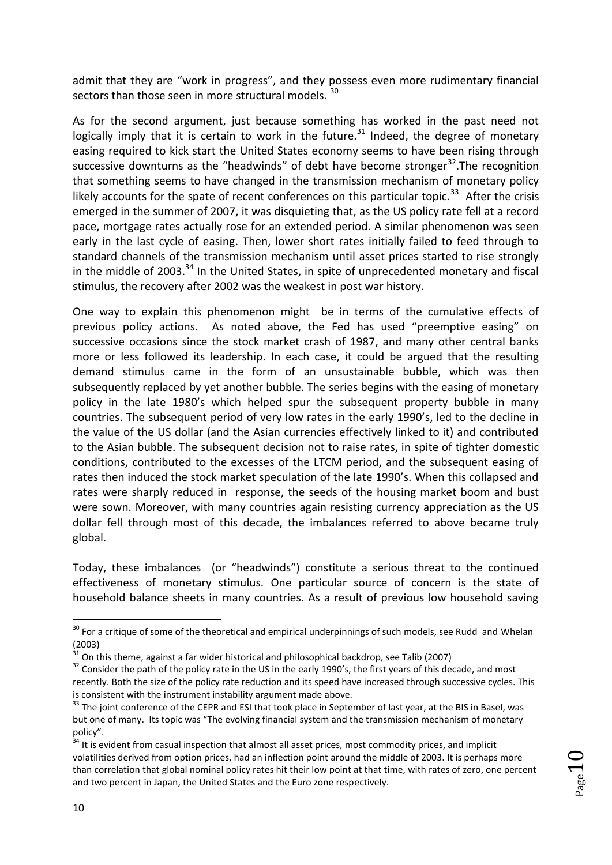admit that they are "work in progress", and they possess even more rudimentary financial sectors than those seen in more structural models. 30

As for the second argument, just because something has worked in the past need not logically imply that it is certain to work in the future.<sup>31</sup> Indeed, the degree of monetary easing required to kick start the United States economy seems to have been rising through successive downturns as the "headwinds" of debt have become stronger $32$ . The recognition that something seems to have changed in the transmission mechanism of monetary policy likely accounts for the spate of recent conferences on this particular topic.<sup>33</sup> After the crisis emerged in the summer of 2007, it was disquieting that, as the US policy rate fell at a record pace, mortgage rates actually rose for an extended period. A similar phenomenon was seen early in the last cycle of easing. Then, lower short rates initially failed to feed through to standard channels of the transmission mechanism until asset prices started to rise strongly in the middle of 2003. $34$  In the United States, in spite of unprecedented monetary and fiscal stimulus, the recovery after 2002 was the weakest in post war history.

One way to explain this phenomenon might be in terms of the cumulative effects of previous policy actions. As noted above, the Fed has used "preemptive easing" on successive occasions since the stock market crash of 1987, and many other central banks more or less followed its leadership. In each case, it could be argued that the resulting demand stimulus came in the form of an unsustainable bubble, which was then subsequently replaced by yet another bubble. The series begins with the easing of monetary policy in the late 1980's which helped spur the subsequent property bubble in many countries. The subsequent period of very low rates in the early 1990's, led to the decline in the value of the US dollar (and the Asian currencies effectively linked to it) and contributed to the Asian bubble. The subsequent decision not to raise rates, in spite of tighter domestic conditions, contributed to the excesses of the LTCM period, and the subsequent easing of rates then induced the stock market speculation of the late 1990's. When this collapsed and rates were sharply reduced in response, the seeds of the housing market boom and bust were sown. Moreover, with many countries again resisting currency appreciation as the US dollar fell through most of this decade, the imbalances referred to above became truly global.

Today, these imbalances (or "headwinds") constitute a serious threat to the continued effectiveness of monetary stimulus. One particular source of concern is the state of household balance sheets in many countries. As a result of previous low household saving

 $\overline{\phantom{a}}$ 

 $30$  For a critique of some of the theoretical and empirical underpinnings of such models, see Rudd and Whelan (2003)

 $31$  On this theme, against a far wider historical and philosophical backdrop, see Talib (2007)

<sup>&</sup>lt;sup>32</sup> Consider the path of the policy rate in the US in the early 1990's, the first years of this decade, and most recently. Both the size of the policy rate reduction and its speed have increased through successive cycles. This is consistent with the instrument instability argument made above.

<sup>&</sup>lt;sup>33</sup> The joint conference of the CEPR and ESI that took place in September of last year, at the BIS in Basel, was but one of many. Its topic was "The evolving financial system and the transmission mechanism of monetary policy".

<sup>&</sup>lt;sup>34</sup> It is evident from casual inspection that almost all asset prices, most commodity prices, and implicit volatilities derived from option prices, had an inflection point around the middle of 2003. It is perhaps more than correlation that global nominal policy rates hit their low point at that time, with rates of zero, one percent and two percent in Japan, the United States and the Euro zone respectively.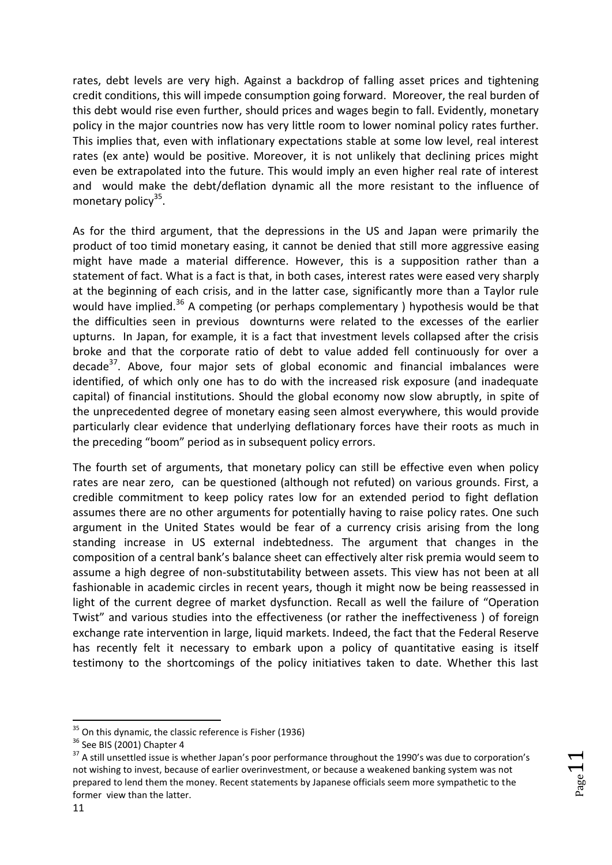rates, debt levels are very high. Against a backdrop of falling asset prices and tightening credit conditions, this will impede consumption going forward. Moreover, the real burden of this debt would rise even further, should prices and wages begin to fall. Evidently, monetary policy in the major countries now has very little room to lower nominal policy rates further. This implies that, even with inflationary expectations stable at some low level, real interest rates (ex ante) would be positive. Moreover, it is not unlikely that declining prices might even be extrapolated into the future. This would imply an even higher real rate of interest and would make the debt/deflation dynamic all the more resistant to the influence of monetary policy<sup>35</sup>.

As for the third argument, that the depressions in the US and Japan were primarily the product of too timid monetary easing, it cannot be denied that still more aggressive easing might have made a material difference. However, this is a supposition rather than a statement of fact. What is a fact is that, in both cases, interest rates were eased very sharply at the beginning of each crisis, and in the latter case, significantly more than a Taylor rule would have implied.<sup>36</sup> A competing (or perhaps complementary ) hypothesis would be that the difficulties seen in previous downturns were related to the excesses of the earlier upturns. In Japan, for example, it is a fact that investment levels collapsed after the crisis broke and that the corporate ratio of debt to value added fell continuously for over a decade<sup>37</sup>. Above, four major sets of global economic and financial imbalances were identified, of which only one has to do with the increased risk exposure (and inadequate capital) of financial institutions. Should the global economy now slow abruptly, in spite of the unprecedented degree of monetary easing seen almost everywhere, this would provide particularly clear evidence that underlying deflationary forces have their roots as much in the preceding "boom" period as in subsequent policy errors.

The fourth set of arguments, that monetary policy can still be effective even when policy rates are near zero, can be questioned (although not refuted) on various grounds. First, a credible commitment to keep policy rates low for an extended period to fight deflation assumes there are no other arguments for potentially having to raise policy rates. One such argument in the United States would be fear of a currency crisis arising from the long standing increase in US external indebtedness. The argument that changes in the composition of a central bank's balance sheet can effectively alter risk premia would seem to assume a high degree of non-substitutability between assets. This view has not been at all fashionable in academic circles in recent years, though it might now be being reassessed in light of the current degree of market dysfunction. Recall as well the failure of "Operation Twist" and various studies into the effectiveness (or rather the ineffectiveness ) of foreign exchange rate intervention in large, liquid markets. Indeed, the fact that the Federal Reserve has recently felt it necessary to embark upon a policy of quantitative easing is itself testimony to the shortcomings of the policy initiatives taken to date. Whether this last

 $_{\rm Page}11$ 

 $35$  On this dynamic, the classic reference is Fisher (1936)

<sup>&</sup>lt;sup>36</sup> See BIS (2001) Chapter 4

<sup>&</sup>lt;sup>37</sup> A still unsettled issue is whether Japan's poor performance throughout the 1990's was due to corporation's not wishing to invest, because of earlier overinvestment, or because a weakened banking system was not prepared to lend them the money. Recent statements by Japanese officials seem more sympathetic to the former view than the latter.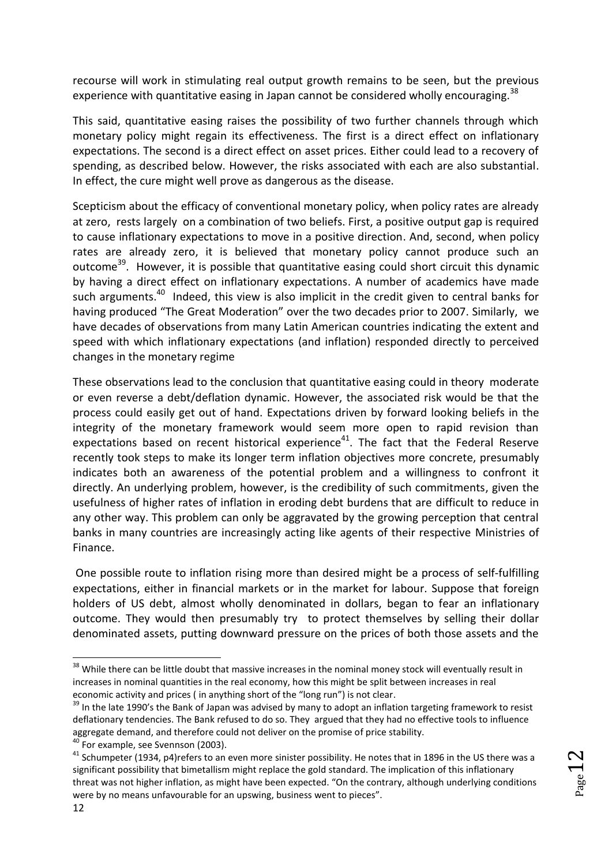recourse will work in stimulating real output growth remains to be seen, but the previous experience with quantitative easing in Japan cannot be considered wholly encouraging.<sup>38</sup>

This said, quantitative easing raises the possibility of two further channels through which monetary policy might regain its effectiveness. The first is a direct effect on inflationary expectations. The second is a direct effect on asset prices. Either could lead to a recovery of spending, as described below. However, the risks associated with each are also substantial. In effect, the cure might well prove as dangerous as the disease.

Scepticism about the efficacy of conventional monetary policy, when policy rates are already at zero, rests largely on a combination of two beliefs. First, a positive output gap is required to cause inflationary expectations to move in a positive direction. And, second, when policy rates are already zero, it is believed that monetary policy cannot produce such an outcome<sup>39</sup>. However, it is possible that quantitative easing could short circuit this dynamic by having a direct effect on inflationary expectations. A number of academics have made such arguments.<sup>40</sup> Indeed, this view is also implicit in the credit given to central banks for having produced "The Great Moderation" over the two decades prior to 2007. Similarly, we have decades of observations from many Latin American countries indicating the extent and speed with which inflationary expectations (and inflation) responded directly to perceived changes in the monetary regime

These observations lead to the conclusion that quantitative easing could in theory moderate or even reverse a debt/deflation dynamic. However, the associated risk would be that the process could easily get out of hand. Expectations driven by forward looking beliefs in the integrity of the monetary framework would seem more open to rapid revision than expectations based on recent historical experience<sup>41</sup>. The fact that the Federal Reserve recently took steps to make its longer term inflation objectives more concrete, presumably indicates both an awareness of the potential problem and a willingness to confront it directly. An underlying problem, however, is the credibility of such commitments, given the usefulness of higher rates of inflation in eroding debt burdens that are difficult to reduce in any other way. This problem can only be aggravated by the growing perception that central banks in many countries are increasingly acting like agents of their respective Ministries of Finance.

One possible route to inflation rising more than desired might be a process of self-fulfilling expectations, either in financial markets or in the market for labour. Suppose that foreign holders of US debt, almost wholly denominated in dollars, began to fear an inflationary outcome. They would then presumably try to protect themselves by selling their dollar denominated assets, putting downward pressure on the prices of both those assets and the

<sup>&</sup>lt;sup>38</sup> While there can be little doubt that massive increases in the nominal money stock will eventually result in increases in nominal quantities in the real economy, how this might be split between increases in real economic activity and prices ( in anything short of the "long run") is not clear.

<sup>&</sup>lt;sup>39</sup> In the late 1990's the Bank of Japan was advised by many to adopt an inflation targeting framework to resist deflationary tendencies. The Bank refused to do so. They argued that they had no effective tools to influence aggregate demand, and therefore could not deliver on the promise of price stability.

<sup>40</sup> For example, see Svennson (2003).

 $41$  Schumpeter (1934, p4)refers to an even more sinister possibility. He notes that in 1896 in the US there was a significant possibility that bimetallism might replace the gold standard. The implication of this inflationary threat was not higher inflation, as might have been expected. "On the contrary, although underlying conditions were by no means unfavourable for an upswing, business went to pieces".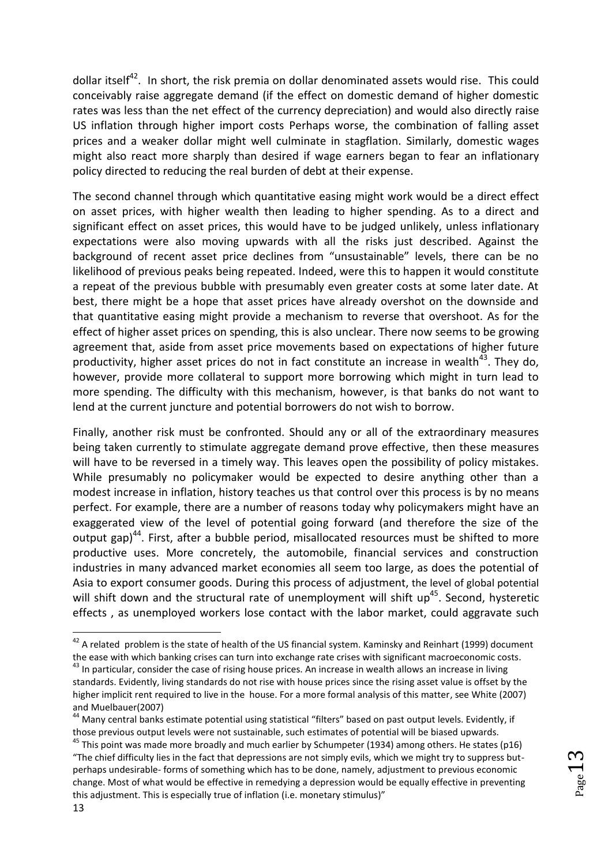dollar itself<sup>42</sup>. In short, the risk premia on dollar denominated assets would rise. This could conceivably raise aggregate demand (if the effect on domestic demand of higher domestic rates was less than the net effect of the currency depreciation) and would also directly raise US inflation through higher import costs Perhaps worse, the combination of falling asset prices and a weaker dollar might well culminate in stagflation. Similarly, domestic wages might also react more sharply than desired if wage earners began to fear an inflationary policy directed to reducing the real burden of debt at their expense.

The second channel through which quantitative easing might work would be a direct effect on asset prices, with higher wealth then leading to higher spending. As to a direct and significant effect on asset prices, this would have to be judged unlikely, unless inflationary expectations were also moving upwards with all the risks just described. Against the background of recent asset price declines from "unsustainable" levels, there can be no likelihood of previous peaks being repeated. Indeed, were this to happen it would constitute a repeat of the previous bubble with presumably even greater costs at some later date. At best, there might be a hope that asset prices have already overshot on the downside and that quantitative easing might provide a mechanism to reverse that overshoot. As for the effect of higher asset prices on spending, this is also unclear. There now seems to be growing agreement that, aside from asset price movements based on expectations of higher future productivity, higher asset prices do not in fact constitute an increase in wealth<sup>43</sup>. They do, however, provide more collateral to support more borrowing which might in turn lead to more spending. The difficulty with this mechanism, however, is that banks do not want to lend at the current juncture and potential borrowers do not wish to borrow.

Finally, another risk must be confronted. Should any or all of the extraordinary measures being taken currently to stimulate aggregate demand prove effective, then these measures will have to be reversed in a timely way. This leaves open the possibility of policy mistakes. While presumably no policymaker would be expected to desire anything other than a modest increase in inflation, history teaches us that control over this process is by no means perfect. For example, there are a number of reasons today why policymakers might have an exaggerated view of the level of potential going forward (and therefore the size of the output gap)<sup>44</sup>. First, after a bubble period, misallocated resources must be shifted to more productive uses. More concretely, the automobile, financial services and construction industries in many advanced market economies all seem too large, as does the potential of Asia to export consumer goods. During this process of adjustment, the level of global potential will shift down and the structural rate of unemployment will shift up<sup>45</sup>. Second, hysteretic effects , as unemployed workers lose contact with the labor market, could aggravate such

1

<sup>&</sup>lt;sup>42</sup> A related problem is the state of health of the US financial system. Kaminsky and Reinhart (1999) document the ease with which banking crises can turn into exchange rate crises with significant macroeconomic costs.

<sup>&</sup>lt;sup>43</sup> In particular, consider the case of rising house prices. An increase in wealth allows an increase in living standards. Evidently, living standards do not rise with house prices since the rising asset value is offset by the higher implicit rent required to live in the house. For a more formal analysis of this matter, see White (2007) and Muelbauer(2007)

<sup>&</sup>lt;sup>44</sup> Many central banks estimate potential using statistical "filters" based on past output levels. Evidently, if those previous output levels were not sustainable, such estimates of potential will be biased upwards.

<sup>&</sup>lt;sup>45</sup> This point was made more broadly and much earlier by Schumpeter (1934) among others. He states (p16) "The chief difficulty lies in the fact that depressions are not simply evils, which we might try to suppress butperhaps undesirable- forms of something which has to be done, namely, adjustment to previous economic change. Most of what would be effective in remedying a depression would be equally effective in preventing this adjustment. This is especially true of inflation (i.e. monetary stimulus)"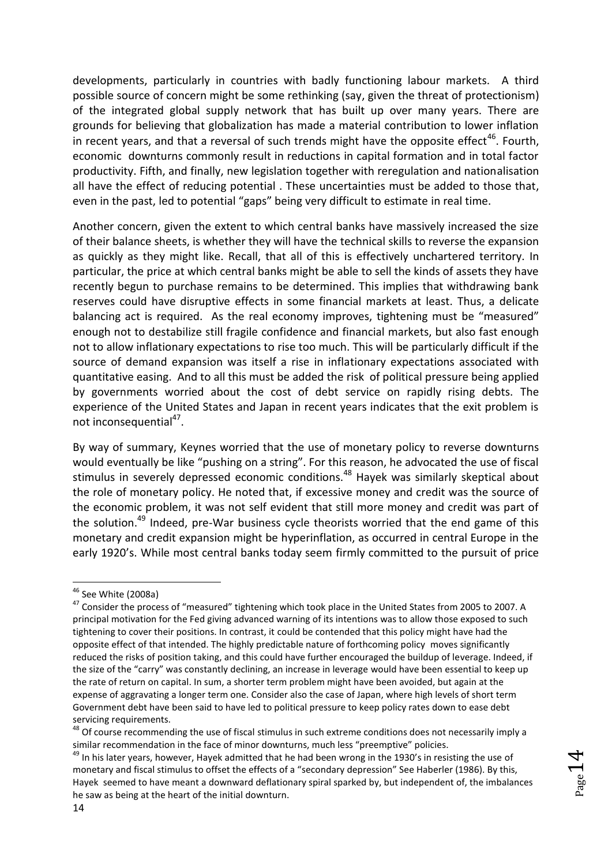developments, particularly in countries with badly functioning labour markets. A third possible source of concern might be some rethinking (say, given the threat of protectionism) of the integrated global supply network that has built up over many years. There are grounds for believing that globalization has made a material contribution to lower inflation in recent years, and that a reversal of such trends might have the opposite effect<sup>46</sup>. Fourth, economic downturns commonly result in reductions in capital formation and in total factor productivity. Fifth, and finally, new legislation together with reregulation and nationalisation all have the effect of reducing potential . These uncertainties must be added to those that, even in the past, led to potential "gaps" being very difficult to estimate in real time.

Another concern, given the extent to which central banks have massively increased the size of their balance sheets, is whether they will have the technical skills to reverse the expansion as quickly as they might like. Recall, that all of this is effectively unchartered territory. In particular, the price at which central banks might be able to sell the kinds of assets they have recently begun to purchase remains to be determined. This implies that withdrawing bank reserves could have disruptive effects in some financial markets at least. Thus, a delicate balancing act is required. As the real economy improves, tightening must be "measured" enough not to destabilize still fragile confidence and financial markets, but also fast enough not to allow inflationary expectations to rise too much. This will be particularly difficult if the source of demand expansion was itself a rise in inflationary expectations associated with quantitative easing. And to all this must be added the risk of political pressure being applied by governments worried about the cost of debt service on rapidly rising debts. The experience of the United States and Japan in recent years indicates that the exit problem is not inconsequential<sup>47</sup>.

By way of summary, Keynes worried that the use of monetary policy to reverse downturns would eventually be like "pushing on a string". For this reason, he advocated the use of fiscal stimulus in severely depressed economic conditions.<sup>48</sup> Hayek was similarly skeptical about the role of monetary policy. He noted that, if excessive money and credit was the source of the economic problem, it was not self evident that still more money and credit was part of the solution.<sup>49</sup> Indeed, pre-War business cycle theorists worried that the end game of this monetary and credit expansion might be hyperinflation, as occurred in central Europe in the early 1920's. While most central banks today seem firmly committed to the pursuit of price

 $^{46}$  See White (2008a)

<sup>&</sup>lt;sup>47</sup> Consider the process of "measured" tightening which took place in the United States from 2005 to 2007. A principal motivation for the Fed giving advanced warning of its intentions was to allow those exposed to such tightening to cover their positions. In contrast, it could be contended that this policy might have had the opposite effect of that intended. The highly predictable nature of forthcoming policy moves significantly reduced the risks of position taking, and this could have further encouraged the buildup of leverage. Indeed, if the size of the "carry" was constantly declining, an increase in leverage would have been essential to keep up the rate of return on capital. In sum, a shorter term problem might have been avoided, but again at the expense of aggravating a longer term one. Consider also the case of Japan, where high levels of short term Government debt have been said to have led to political pressure to keep policy rates down to ease debt servicing requirements.

<sup>48</sup> Of course recommending the use of fiscal stimulus in such extreme conditions does not necessarily imply a similar recommendation in the face of minor downturns, much less "preemptive" policies.

<sup>&</sup>lt;sup>49</sup> In his later years, however, Hayek admitted that he had been wrong in the 1930's in resisting the use of monetary and fiscal stimulus to offset the effects of a "secondary depression" See Haberler (1986). By this, Hayek seemed to have meant a downward deflationary spiral sparked by, but independent of, the imbalances he saw as being at the heart of the initial downturn.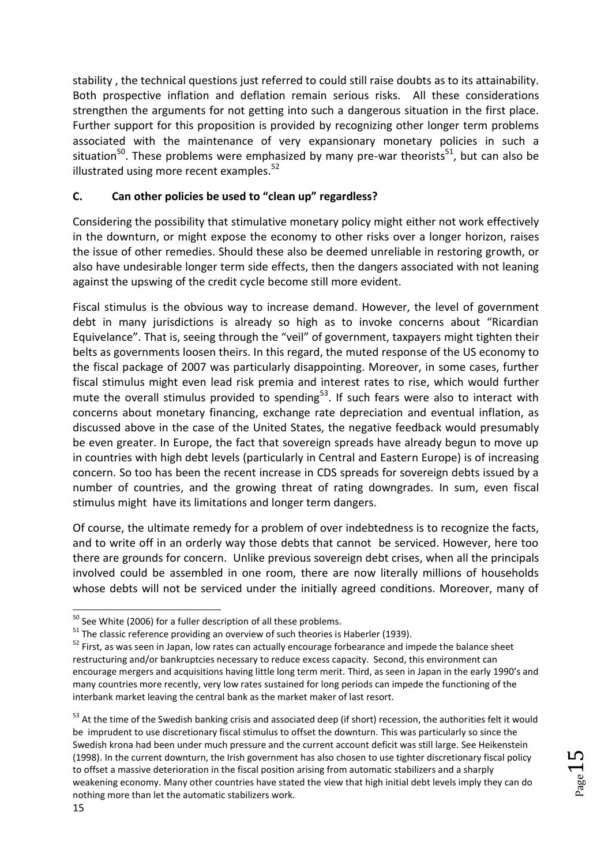stability , the technical questions just referred to could still raise doubts as to its attainability. Both prospective inflation and deflation remain serious risks. All these considerations strengthen the arguments for not getting into such a dangerous situation in the first place. Further support for this proposition is provided by recognizing other longer term problems associated with the maintenance of very expansionary monetary policies in such a situation<sup>50</sup>. These problems were emphasized by many pre-war theorists<sup>51</sup>, but can also be illustrated using more recent examples.<sup>52</sup>

## **C. Can other policies be used to "clean up" regardless?**

Considering the possibility that stimulative monetary policy might either not work effectively in the downturn, or might expose the economy to other risks over a longer horizon, raises the issue of other remedies. Should these also be deemed unreliable in restoring growth, or also have undesirable longer term side effects, then the dangers associated with not leaning against the upswing of the credit cycle become still more evident.

Fiscal stimulus is the obvious way to increase demand. However, the level of government debt in many jurisdictions is already so high as to invoke concerns about "Ricardian Equivelance". That is, seeing through the "veil" of government, taxpayers might tighten their belts as governments loosen theirs. In this regard, the muted response of the US economy to the fiscal package of 2007 was particularly disappointing. Moreover, in some cases, further fiscal stimulus might even lead risk premia and interest rates to rise, which would further mute the overall stimulus provided to spending<sup>53</sup>. If such fears were also to interact with concerns about monetary financing, exchange rate depreciation and eventual inflation, as discussed above in the case of the United States, the negative feedback would presumably be even greater. In Europe, the fact that sovereign spreads have already begun to move up in countries with high debt levels (particularly in Central and Eastern Europe) is of increasing concern. So too has been the recent increase in CDS spreads for sovereign debts issued by a number of countries, and the growing threat of rating downgrades. In sum, even fiscal stimulus might have its limitations and longer term dangers.

Of course, the ultimate remedy for a problem of over indebtedness is to recognize the facts, and to write off in an orderly way those debts that cannot be serviced. However, here too there are grounds for concern. Unlike previous sovereign debt crises, when all the principals involved could be assembled in one room, there are now literally millions of households whose debts will not be serviced under the initially agreed conditions. Moreover, many of

**<sup>.</sup>**  $50$  See White (2006) for a fuller description of all these problems.

 $51$  The classic reference providing an overview of such theories is Haberler (1939).

<sup>&</sup>lt;sup>52</sup> First, as was seen in Japan, low rates can actually encourage forbearance and impede the balance sheet restructuring and/or bankruptcies necessary to reduce excess capacity. Second, this environment can encourage mergers and acquisitions having little long term merit. Third, as seen in Japan in the early 1990's and many countries more recently, very low rates sustained for long periods can impede the functioning of the interbank market leaving the central bank as the market maker of last resort.

<sup>&</sup>lt;sup>53</sup> At the time of the Swedish banking crisis and associated deep (if short) recession, the authorities felt it would be imprudent to use discretionary fiscal stimulus to offset the downturn. This was particularly so since the Swedish krona had been under much pressure and the current account deficit was still large. See Heikenstein (1998). In the current downturn, the Irish government has also chosen to use tighter discretionary fiscal policy to offset a massive deterioration in the fiscal position arising from automatic stabilizers and a sharply weakening economy. Many other countries have stated the view that high initial debt levels imply they can do nothing more than let the automatic stabilizers work.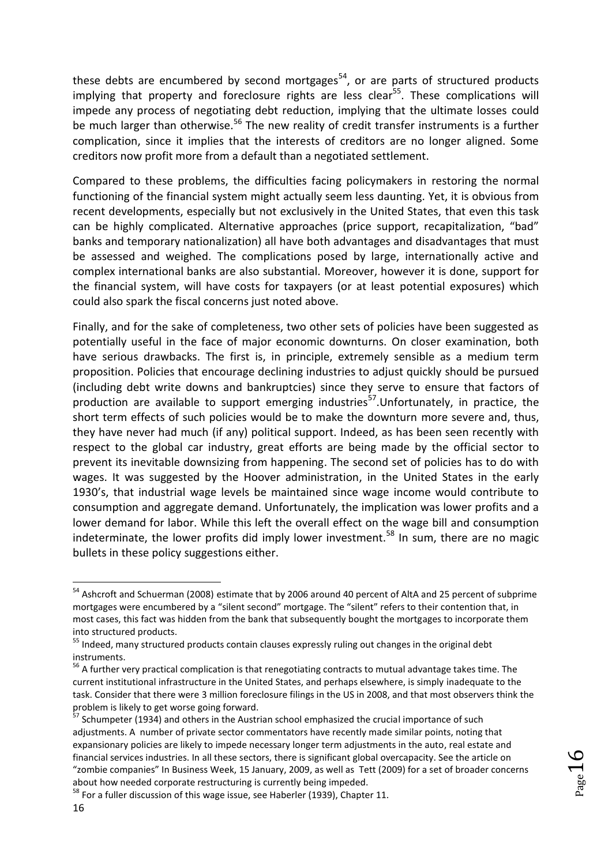these debts are encumbered by second mortgages<sup>54</sup>, or are parts of structured products implying that property and foreclosure rights are less clear<sup>55</sup>. These complications will impede any process of negotiating debt reduction, implying that the ultimate losses could be much larger than otherwise.<sup>56</sup> The new reality of credit transfer instruments is a further complication, since it implies that the interests of creditors are no longer aligned. Some creditors now profit more from a default than a negotiated settlement.

Compared to these problems, the difficulties facing policymakers in restoring the normal functioning of the financial system might actually seem less daunting. Yet, it is obvious from recent developments, especially but not exclusively in the United States, that even this task can be highly complicated. Alternative approaches (price support, recapitalization, "bad" banks and temporary nationalization) all have both advantages and disadvantages that must be assessed and weighed. The complications posed by large, internationally active and complex international banks are also substantial. Moreover, however it is done, support for the financial system, will have costs for taxpayers (or at least potential exposures) which could also spark the fiscal concerns just noted above.

Finally, and for the sake of completeness, two other sets of policies have been suggested as potentially useful in the face of major economic downturns. On closer examination, both have serious drawbacks. The first is, in principle, extremely sensible as a medium term proposition. Policies that encourage declining industries to adjust quickly should be pursued (including debt write downs and bankruptcies) since they serve to ensure that factors of production are available to support emerging industries<sup>57</sup>. Unfortunately, in practice, the short term effects of such policies would be to make the downturn more severe and, thus, they have never had much (if any) political support. Indeed, as has been seen recently with respect to the global car industry, great efforts are being made by the official sector to prevent its inevitable downsizing from happening. The second set of policies has to do with wages. It was suggested by the Hoover administration, in the United States in the early 1930's, that industrial wage levels be maintained since wage income would contribute to consumption and aggregate demand. Unfortunately, the implication was lower profits and a lower demand for labor. While this left the overall effect on the wage bill and consumption indeterminate, the lower profits did imply lower investment.<sup>58</sup> In sum, there are no magic bullets in these policy suggestions either.

<sup>&</sup>lt;sup>54</sup> Ashcroft and Schuerman (2008) estimate that by 2006 around 40 percent of AltA and 25 percent of subprime mortgages were encumbered by a "silent second" mortgage. The "silent" refers to their contention that, in most cases, this fact was hidden from the bank that subsequently bought the mortgages to incorporate them into structured products.

<sup>&</sup>lt;sup>55</sup> Indeed, many structured products contain clauses expressly ruling out changes in the original debt instruments.

<sup>&</sup>lt;sup>56</sup> A further very practical complication is that renegotiating contracts to mutual advantage takes time. The current institutional infrastructure in the United States, and perhaps elsewhere, is simply inadequate to the task. Consider that there were 3 million foreclosure filings in the US in 2008, and that most observers think the problem is likely to get worse going forward.

<sup>&</sup>lt;sup>57</sup> Schumpeter (1934) and others in the Austrian school emphasized the crucial importance of such adjustments. A number of private sector commentators have recently made similar points, noting that expansionary policies are likely to impede necessary longer term adjustments in the auto, real estate and financial services industries. In all these sectors, there is significant global overcapacity. See the article on "zombie companies" In Business Week, 15 January, 2009, as well as Tett (2009) for a set of broader concerns about how needed corporate restructuring is currently being impeded.

<sup>&</sup>lt;sup>58</sup> For a fuller discussion of this wage issue, see Haberler (1939), Chapter 11.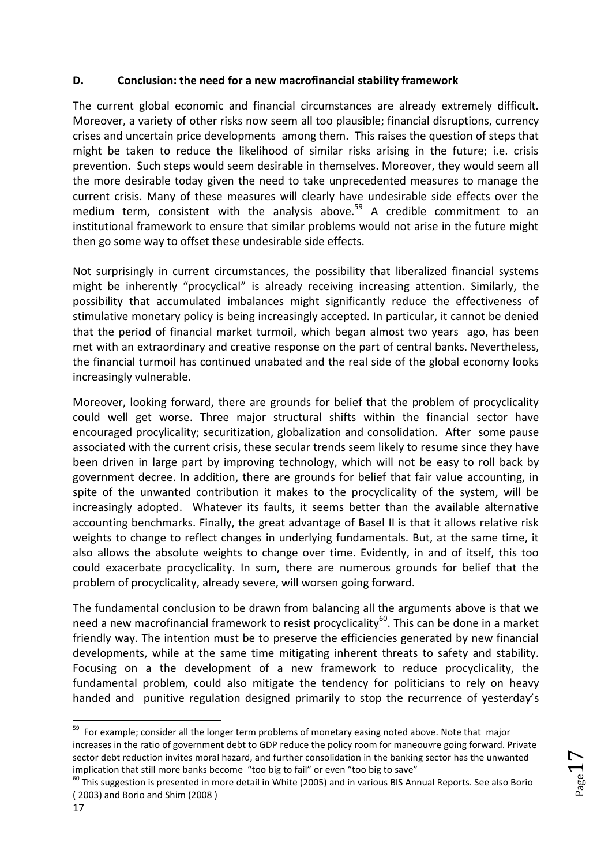### **D. Conclusion: the need for a new macrofinancial stability framework**

The current global economic and financial circumstances are already extremely difficult. Moreover, a variety of other risks now seem all too plausible; financial disruptions, currency crises and uncertain price developments among them. This raises the question of steps that might be taken to reduce the likelihood of similar risks arising in the future; i.e. crisis prevention. Such steps would seem desirable in themselves. Moreover, they would seem all the more desirable today given the need to take unprecedented measures to manage the current crisis. Many of these measures will clearly have undesirable side effects over the medium term, consistent with the analysis above.<sup>59</sup> A credible commitment to an institutional framework to ensure that similar problems would not arise in the future might then go some way to offset these undesirable side effects.

Not surprisingly in current circumstances, the possibility that liberalized financial systems might be inherently "procyclical" is already receiving increasing attention. Similarly, the possibility that accumulated imbalances might significantly reduce the effectiveness of stimulative monetary policy is being increasingly accepted. In particular, it cannot be denied that the period of financial market turmoil, which began almost two years ago, has been met with an extraordinary and creative response on the part of central banks. Nevertheless, the financial turmoil has continued unabated and the real side of the global economy looks increasingly vulnerable.

Moreover, looking forward, there are grounds for belief that the problem of procyclicality could well get worse. Three major structural shifts within the financial sector have encouraged procylicality; securitization, globalization and consolidation. After some pause associated with the current crisis, these secular trends seem likely to resume since they have been driven in large part by improving technology, which will not be easy to roll back by government decree. In addition, there are grounds for belief that fair value accounting, in spite of the unwanted contribution it makes to the procyclicality of the system, will be increasingly adopted. Whatever its faults, it seems better than the available alternative accounting benchmarks. Finally, the great advantage of Basel II is that it allows relative risk weights to change to reflect changes in underlying fundamentals. But, at the same time, it also allows the absolute weights to change over time. Evidently, in and of itself, this too could exacerbate procyclicality. In sum, there are numerous grounds for belief that the problem of procyclicality, already severe, will worsen going forward.

The fundamental conclusion to be drawn from balancing all the arguments above is that we need a new macrofinancial framework to resist procyclicality<sup>60</sup>. This can be done in a market friendly way. The intention must be to preserve the efficiencies generated by new financial developments, while at the same time mitigating inherent threats to safety and stability. Focusing on a the development of a new framework to reduce procyclicality, the fundamental problem, could also mitigate the tendency for politicians to rely on heavy handed and punitive regulation designed primarily to stop the recurrence of yesterday's

Page<sup>1</sup>

<sup>&</sup>lt;sup>59</sup> For example; consider all the longer term problems of monetary easing noted above. Note that major increases in the ratio of government debt to GDP reduce the policy room for maneouvre going forward. Private sector debt reduction invites moral hazard, and further consolidation in the banking sector has the unwanted implication that still more banks become "too big to fail" or even "too big to save"

 $60$  This suggestion is presented in more detail in White (2005) and in various BIS Annual Reports. See also Borio ( 2003) and Borio and Shim (2008 )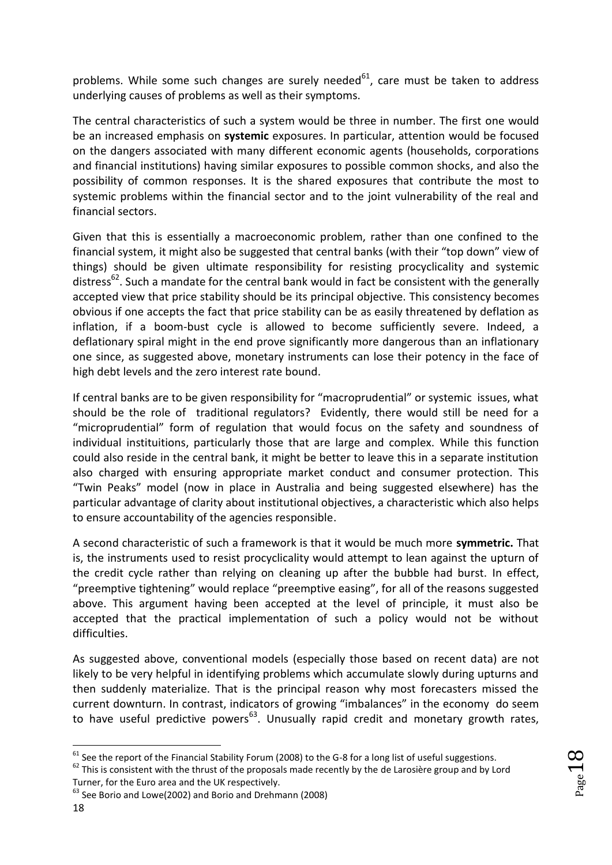problems. While some such changes are surely needed $61$ , care must be taken to address underlying causes of problems as well as their symptoms.

The central characteristics of such a system would be three in number. The first one would be an increased emphasis on **systemic** exposures. In particular, attention would be focused on the dangers associated with many different economic agents (households, corporations and financial institutions) having similar exposures to possible common shocks, and also the possibility of common responses. It is the shared exposures that contribute the most to systemic problems within the financial sector and to the joint vulnerability of the real and financial sectors.

Given that this is essentially a macroeconomic problem, rather than one confined to the financial system, it might also be suggested that central banks (with their "top down" view of things) should be given ultimate responsibility for resisting procyclicality and systemic distress<sup>62</sup>. Such a mandate for the central bank would in fact be consistent with the generally accepted view that price stability should be its principal objective. This consistency becomes obvious if one accepts the fact that price stability can be as easily threatened by deflation as inflation, if a boom-bust cycle is allowed to become sufficiently severe. Indeed, a deflationary spiral might in the end prove significantly more dangerous than an inflationary one since, as suggested above, monetary instruments can lose their potency in the face of high debt levels and the zero interest rate bound.

If central banks are to be given responsibility for "macroprudential" or systemic issues, what should be the role of traditional regulators? Evidently, there would still be need for a "microprudential" form of regulation that would focus on the safety and soundness of individual instituitions, particularly those that are large and complex. While this function could also reside in the central bank, it might be better to leave this in a separate institution also charged with ensuring appropriate market conduct and consumer protection. This "Twin Peaks" model (now in place in Australia and being suggested elsewhere) has the particular advantage of clarity about institutional objectives, a characteristic which also helps to ensure accountability of the agencies responsible.

A second characteristic of such a framework is that it would be much more **symmetric.** That is, the instruments used to resist procyclicality would attempt to lean against the upturn of the credit cycle rather than relying on cleaning up after the bubble had burst. In effect, "preemptive tightening" would replace "preemptive easing", for all of the reasons suggested above. This argument having been accepted at the level of principle, it must also be accepted that the practical implementation of such a policy would not be without difficulties.

As suggested above, conventional models (especially those based on recent data) are not likely to be very helpful in identifying problems which accumulate slowly during upturns and then suddenly materialize. That is the principal reason why most forecasters missed the current downturn. In contrast, indicators of growing "imbalances" in the economy do seem to have useful predictive powers $^{63}$ . Unusually rapid credit and monetary growth rates,

Turner, for the Euro area and the UK respectively.

**<sup>.</sup>**  $61$  See the report of the Financial Stability Forum (2008) to the G-8 for a long list of useful suggestions.  $62$  This is consistent with the thrust of the proposals made recently by the de Larosière group and by Lord

<sup>&</sup>lt;sup>63</sup> See Borio and Lowe(2002) and Borio and Drehmann (2008)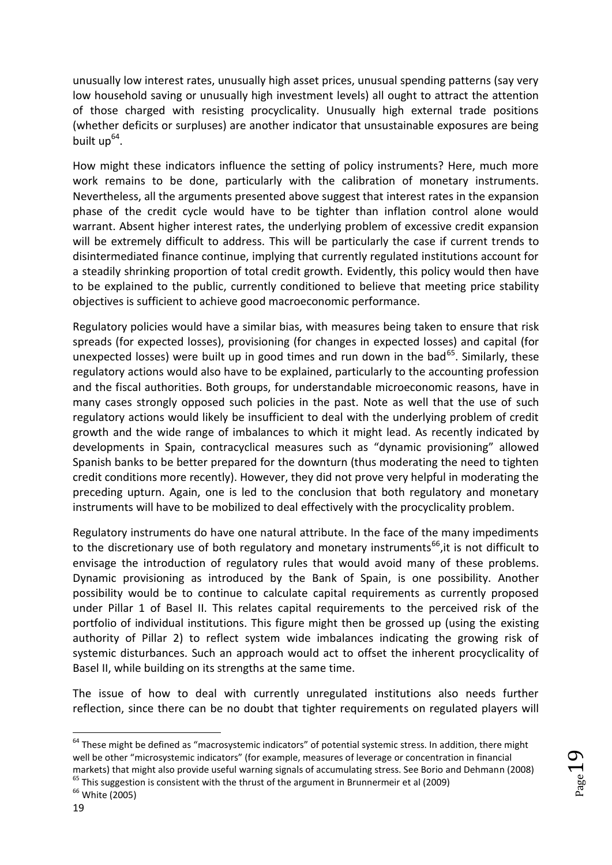unusually low interest rates, unusually high asset prices, unusual spending patterns (say very low household saving or unusually high investment levels) all ought to attract the attention of those charged with resisting procyclicality. Unusually high external trade positions (whether deficits or surpluses) are another indicator that unsustainable exposures are being built up<sup>64</sup>.

How might these indicators influence the setting of policy instruments? Here, much more work remains to be done, particularly with the calibration of monetary instruments. Nevertheless, all the arguments presented above suggest that interest rates in the expansion phase of the credit cycle would have to be tighter than inflation control alone would warrant. Absent higher interest rates, the underlying problem of excessive credit expansion will be extremely difficult to address. This will be particularly the case if current trends to disintermediated finance continue, implying that currently regulated institutions account for a steadily shrinking proportion of total credit growth. Evidently, this policy would then have to be explained to the public, currently conditioned to believe that meeting price stability objectives is sufficient to achieve good macroeconomic performance.

Regulatory policies would have a similar bias, with measures being taken to ensure that risk spreads (for expected losses), provisioning (for changes in expected losses) and capital (for unexpected losses) were built up in good times and run down in the bad<sup>65</sup>. Similarly, these regulatory actions would also have to be explained, particularly to the accounting profession and the fiscal authorities. Both groups, for understandable microeconomic reasons, have in many cases strongly opposed such policies in the past. Note as well that the use of such regulatory actions would likely be insufficient to deal with the underlying problem of credit growth and the wide range of imbalances to which it might lead. As recently indicated by developments in Spain, contracyclical measures such as "dynamic provisioning" allowed Spanish banks to be better prepared for the downturn (thus moderating the need to tighten credit conditions more recently). However, they did not prove very helpful in moderating the preceding upturn. Again, one is led to the conclusion that both regulatory and monetary instruments will have to be mobilized to deal effectively with the procyclicality problem.

Regulatory instruments do have one natural attribute. In the face of the many impediments to the discretionary use of both regulatory and monetary instruments<sup>66</sup>, it is not difficult to envisage the introduction of regulatory rules that would avoid many of these problems. Dynamic provisioning as introduced by the Bank of Spain, is one possibility. Another possibility would be to continue to calculate capital requirements as currently proposed under Pillar 1 of Basel II. This relates capital requirements to the perceived risk of the portfolio of individual institutions. This figure might then be grossed up (using the existing authority of Pillar 2) to reflect system wide imbalances indicating the growing risk of systemic disturbances. Such an approach would act to offset the inherent procyclicality of Basel II, while building on its strengths at the same time.

The issue of how to deal with currently unregulated institutions also needs further reflection, since there can be no doubt that tighter requirements on regulated players will

<sup>&</sup>lt;sup>64</sup> These might be defined as "macrosystemic indicators" of potential systemic stress. In addition, there might well be other "microsystemic indicators" (for example, measures of leverage or concentration in financial markets) that might also provide useful warning signals of accumulating stress. See Borio and Dehmann (2008)  $65$  This suggestion is consistent with the thrust of the argument in Brunnermeir et al (2009)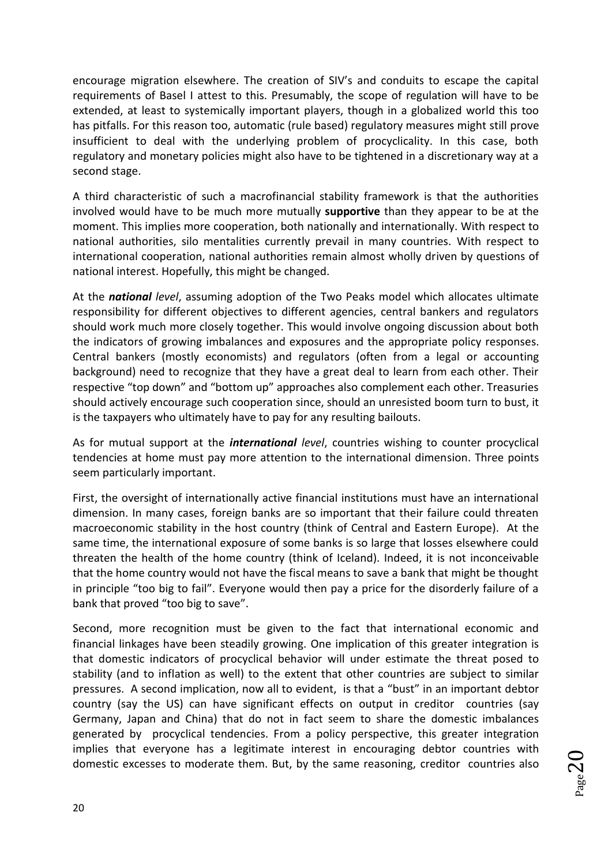encourage migration elsewhere. The creation of SIV's and conduits to escape the capital requirements of Basel I attest to this. Presumably, the scope of regulation will have to be extended, at least to systemically important players, though in a globalized world this too has pitfalls. For this reason too, automatic (rule based) regulatory measures might still prove insufficient to deal with the underlying problem of procyclicality. In this case, both regulatory and monetary policies might also have to be tightened in a discretionary way at a second stage.

A third characteristic of such a macrofinancial stability framework is that the authorities involved would have to be much more mutually **supportive** than they appear to be at the moment. This implies more cooperation, both nationally and internationally. With respect to national authorities, silo mentalities currently prevail in many countries. With respect to international cooperation, national authorities remain almost wholly driven by questions of national interest. Hopefully, this might be changed.

At the *national level*, assuming adoption of the Two Peaks model which allocates ultimate responsibility for different objectives to different agencies, central bankers and regulators should work much more closely together. This would involve ongoing discussion about both the indicators of growing imbalances and exposures and the appropriate policy responses. Central bankers (mostly economists) and regulators (often from a legal or accounting background) need to recognize that they have a great deal to learn from each other. Their respective "top down" and "bottom up" approaches also complement each other. Treasuries should actively encourage such cooperation since, should an unresisted boom turn to bust, it is the taxpayers who ultimately have to pay for any resulting bailouts.

As for mutual support at the *international level*, countries wishing to counter procyclical tendencies at home must pay more attention to the international dimension. Three points seem particularly important.

First, the oversight of internationally active financial institutions must have an international dimension. In many cases, foreign banks are so important that their failure could threaten macroeconomic stability in the host country (think of Central and Eastern Europe). At the same time, the international exposure of some banks is so large that losses elsewhere could threaten the health of the home country (think of Iceland). Indeed, it is not inconceivable that the home country would not have the fiscal means to save a bank that might be thought in principle "too big to fail". Everyone would then pay a price for the disorderly failure of a bank that proved "too big to save".

Second, more recognition must be given to the fact that international economic and financial linkages have been steadily growing. One implication of this greater integration is that domestic indicators of procyclical behavior will under estimate the threat posed to stability (and to inflation as well) to the extent that other countries are subject to similar pressures. A second implication, now all to evident, is that a "bust" in an important debtor country (say the US) can have significant effects on output in creditor countries (say Germany, Japan and China) that do not in fact seem to share the domestic imbalances generated by procyclical tendencies. From a policy perspective, this greater integration implies that everyone has a legitimate interest in encouraging debtor countries with domestic excesses to moderate them. But, by the same reasoning, creditor countries also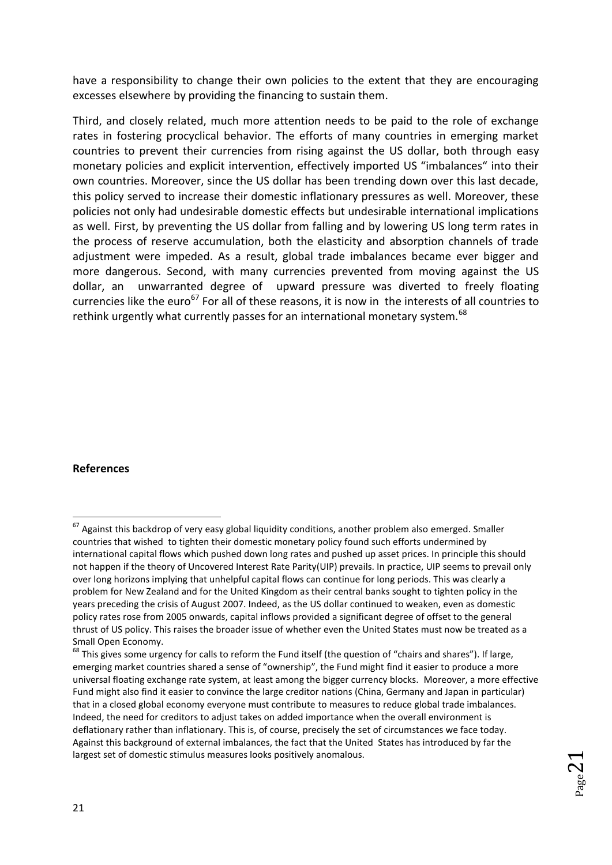have a responsibility to change their own policies to the extent that they are encouraging excesses elsewhere by providing the financing to sustain them.

Third, and closely related, much more attention needs to be paid to the role of exchange rates in fostering procyclical behavior. The efforts of many countries in emerging market countries to prevent their currencies from rising against the US dollar, both through easy monetary policies and explicit intervention, effectively imported US "imbalances" into their own countries. Moreover, since the US dollar has been trending down over this last decade, this policy served to increase their domestic inflationary pressures as well. Moreover, these policies not only had undesirable domestic effects but undesirable international implications as well. First, by preventing the US dollar from falling and by lowering US long term rates in the process of reserve accumulation, both the elasticity and absorption channels of trade adjustment were impeded. As a result, global trade imbalances became ever bigger and more dangerous. Second, with many currencies prevented from moving against the US dollar, an unwarranted degree of upward pressure was diverted to freely floating currencies like the euro<sup>67</sup> For all of these reasons, it is now in the interests of all countries to rethink urgently what currently passes for an international monetary system.<sup>68</sup>

#### **References**

1

<sup>&</sup>lt;sup>67</sup> Against this backdrop of very easy global liquidity conditions, another problem also emerged. Smaller countries that wished to tighten their domestic monetary policy found such efforts undermined by international capital flows which pushed down long rates and pushed up asset prices. In principle this should not happen if the theory of Uncovered Interest Rate Parity(UIP) prevails. In practice, UIP seems to prevail only over long horizons implying that unhelpful capital flows can continue for long periods. This was clearly a problem for New Zealand and for the United Kingdom as their central banks sought to tighten policy in the years preceding the crisis of August 2007. Indeed, as the US dollar continued to weaken, even as domestic policy rates rose from 2005 onwards, capital inflows provided a significant degree of offset to the general thrust of US policy. This raises the broader issue of whether even the United States must now be treated as a Small Open Economy.

 $68$  This gives some urgency for calls to reform the Fund itself (the question of "chairs and shares"). If large, emerging market countries shared a sense of "ownership", the Fund might find it easier to produce a more universal floating exchange rate system, at least among the bigger currency blocks. Moreover, a more effective Fund might also find it easier to convince the large creditor nations (China, Germany and Japan in particular) that in a closed global economy everyone must contribute to measures to reduce global trade imbalances. Indeed, the need for creditors to adjust takes on added importance when the overall environment is deflationary rather than inflationary. This is, of course, precisely the set of circumstances we face today. Against this background of external imbalances, the fact that the United States has introduced by far the largest set of domestic stimulus measures looks positively anomalous.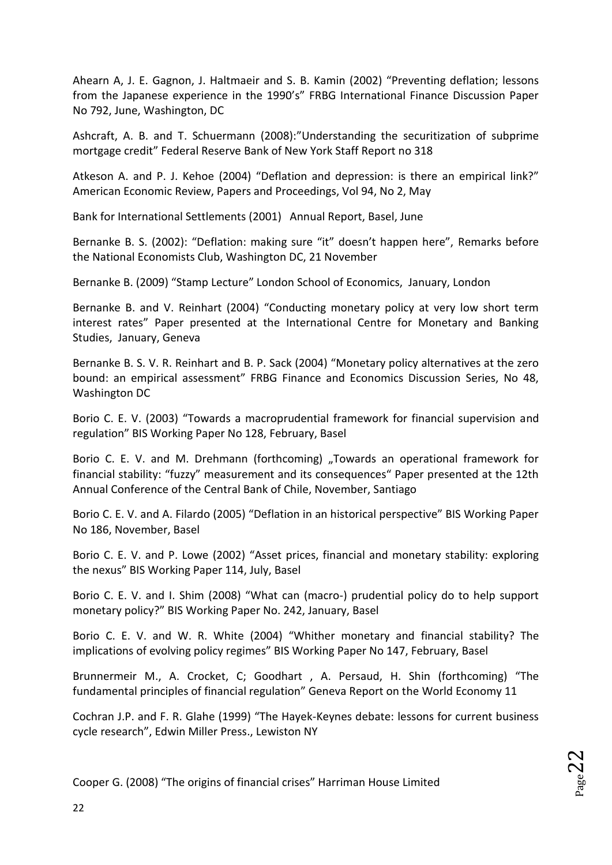Ahearn A, J. E. Gagnon, J. Haltmaeir and S. B. Kamin (2002) "Preventing deflation; lessons from the Japanese experience in the 1990's" FRBG International Finance Discussion Paper No 792, June, Washington, DC

Ashcraft, A. B. and T. Schuermann (2008):"Understanding the securitization of subprime mortgage credit" Federal Reserve Bank of New York Staff Report no 318

Atkeson A. and P. J. Kehoe (2004) "Deflation and depression: is there an empirical link?" American Economic Review, Papers and Proceedings, Vol 94, No 2, May

Bank for International Settlements (2001) Annual Report, Basel, June

Bernanke B. S. (2002): "Deflation: making sure "it" doesn't happen here", Remarks before the National Economists Club, Washington DC, 21 November

Bernanke B. (2009) "Stamp Lecture" London School of Economics, January, London

Bernanke B. and V. Reinhart (2004) "Conducting monetary policy at very low short term interest rates" Paper presented at the International Centre for Monetary and Banking Studies, January, Geneva

Bernanke B. S. V. R. Reinhart and B. P. Sack (2004) "Monetary policy alternatives at the zero bound: an empirical assessment" FRBG Finance and Economics Discussion Series, No 48, Washington DC

Borio C. E. V. (2003) "Towards a macroprudential framework for financial supervision and regulation" BIS Working Paper No 128, February, Basel

Borio C. E. V. and M. Drehmann (forthcoming) "Towards an operational framework for financial stability: "fuzzy" measurement and its consequences" Paper presented at the 12th Annual Conference of the Central Bank of Chile, November, Santiago

Borio C. E. V. and A. Filardo (2005) "Deflation in an historical perspective" BIS Working Paper No 186, November, Basel

Borio C. E. V. and P. Lowe (2002) "Asset prices, financial and monetary stability: exploring the nexus" BIS Working Paper 114, July, Basel

Borio C. E. V. and I. Shim (2008) "What can (macro-) prudential policy do to help support monetary policy?" BIS Working Paper No. 242, January, Basel

Borio C. E. V. and W. R. White (2004) "Whither monetary and financial stability? The implications of evolving policy regimes" BIS Working Paper No 147, February, Basel

Brunnermeir M., A. Crocket, C; Goodhart , A. Persaud, H. Shin (forthcoming) "The fundamental principles of financial regulation" Geneva Report on the World Economy 11

Cochran J.P. and F. R. Glahe (1999) "The Hayek-Keynes debate: lessons for current business cycle research", Edwin Miller Press., Lewiston NY

 $_{\rm Page}$ 22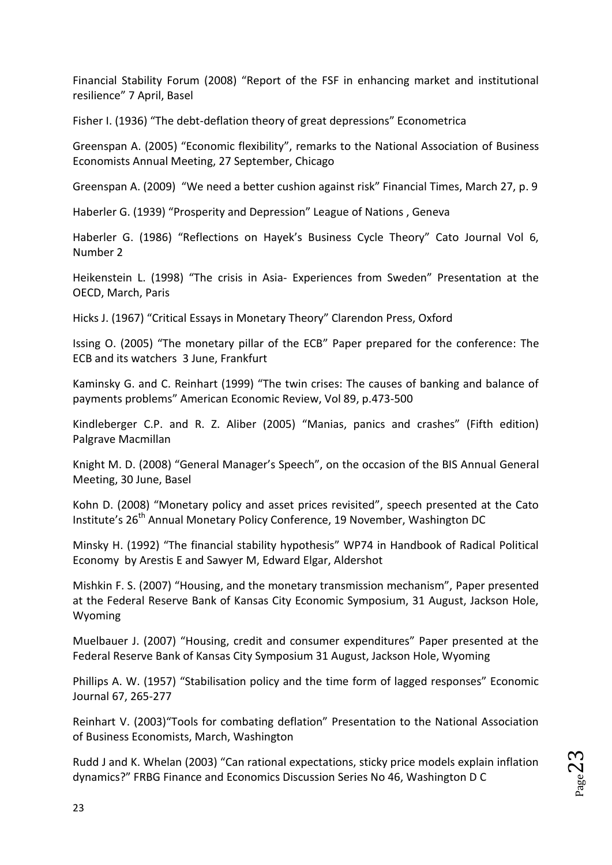Financial Stability Forum (2008) "Report of the FSF in enhancing market and institutional resilience" 7 April, Basel

Fisher I. (1936) "The debt-deflation theory of great depressions" Econometrica

Greenspan A. (2005) "Economic flexibility", remarks to the National Association of Business Economists Annual Meeting, 27 September, Chicago

Greenspan A. (2009) "We need a better cushion against risk" Financial Times, March 27, p. 9

Haberler G. (1939) "Prosperity and Depression" League of Nations , Geneva

Haberler G. (1986) "Reflections on Hayek's Business Cycle Theory" Cato Journal Vol 6, Number 2

Heikenstein L. (1998) "The crisis in Asia- Experiences from Sweden" Presentation at the OECD, March, Paris

Hicks J. (1967) "Critical Essays in Monetary Theory" Clarendon Press, Oxford

Issing O. (2005) "The monetary pillar of the ECB" Paper prepared for the conference: The ECB and its watchers 3 June, Frankfurt

Kaminsky G. and C. Reinhart (1999) "The twin crises: The causes of banking and balance of payments problems" American Economic Review, Vol 89, p.473-500

Kindleberger C.P. and R. Z. Aliber (2005) "Manias, panics and crashes" (Fifth edition) Palgrave Macmillan

Knight M. D. (2008) "General Manager's Speech", on the occasion of the BIS Annual General Meeting, 30 June, Basel

Kohn D. (2008) "Monetary policy and asset prices revisited", speech presented at the Cato Institute's 26<sup>th</sup> Annual Monetary Policy Conference, 19 November, Washington DC

Minsky H. (1992) "The financial stability hypothesis" WP74 in Handbook of Radical Political Economy by Arestis E and Sawyer M, Edward Elgar, Aldershot

Mishkin F. S. (2007) "Housing, and the monetary transmission mechanism", Paper presented at the Federal Reserve Bank of Kansas City Economic Symposium, 31 August, Jackson Hole, Wyoming

Muelbauer J. (2007) "Housing, credit and consumer expenditures" Paper presented at the Federal Reserve Bank of Kansas City Symposium 31 August, Jackson Hole, Wyoming

Phillips A. W. (1957) "Stabilisation policy and the time form of lagged responses" Economic Journal 67, 265-277

Reinhart V. (2003)"Tools for combating deflation" Presentation to the National Association of Business Economists, March, Washington

Rudd J and K. Whelan (2003) "Can rational expectations, sticky price models explain inflation dynamics?" FRBG Finance and Economics Discussion Series No 46, Washington D C